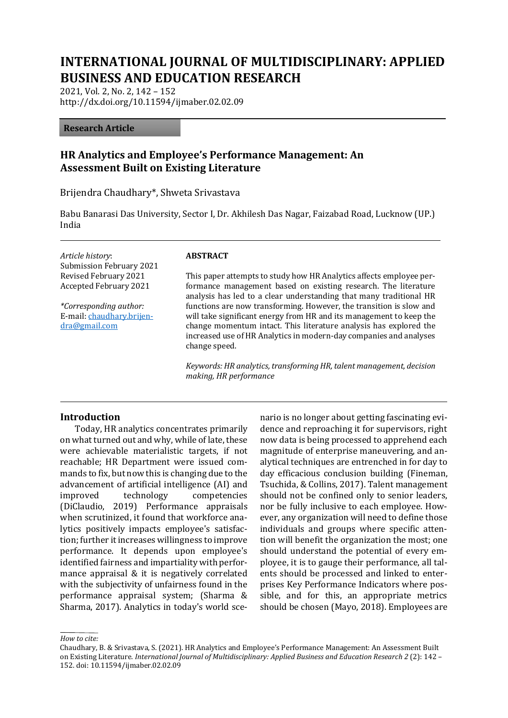# **INTERNATIONAL JOURNAL OF MULTIDISCIPLINARY: APPLIED BUSINESS AND EDUCATION RESEARCH**

2021, Vol. 2, No. 2, 142 – 152 http://dx.doi.org/10.11594/ijmaber.02.02.09

#### **Research Article**

# **HR Analytics and Employee's Performance Management: An Assessment Built on Existing Literature**

Brijendra Chaudhary\*, Shweta Srivastava

Babu Banarasi Das University, Sector I, Dr. Akhilesh Das Nagar, Faizabad Road, Lucknow (UP.) India

*Article history*: Submission February 2021 Revised February 2021 Accepted February 2021

*\*Corresponding author:* E-mail: [chaudhary.brijen](mailto:chaudhary.brijendra@gmail.com)[dra@gmail.com](mailto:chaudhary.brijendra@gmail.com)

#### **ABSTRACT**

This paper attempts to study how HR Analytics affects employee performance management based on existing research. The literature analysis has led to a clear understanding that many traditional HR functions are now transforming. However, the transition is slow and will take significant energy from HR and its management to keep the change momentum intact. This literature analysis has explored the increased use of HR Analytics in modern-day companies and analyses change speed.

*Keywords: HR analytics, transforming HR, talent management, decision making, HR performance*

#### **Introduction**

Today, HR analytics concentrates primarily on what turned out and why, while of late, these were achievable materialistic targets, if not reachable; HR Department were issued commands to fix, but now this is changing due to the advancement of artificial intelligence (AI) and improved technology competencies (DiClaudio, 2019) Performance appraisals when scrutinized, it found that workforce analytics positively impacts employee's satisfaction; further it increases willingness to improve performance. It depends upon employee's identified fairness and impartiality with performance appraisal & it is negatively correlated with the subjectivity of unfairness found in the performance appraisal system; (Sharma & Sharma, 2017). Analytics in today's world scenario is no longer about getting fascinating evidence and reproaching it for supervisors, right now data is being processed to apprehend each magnitude of enterprise maneuvering, and analytical techniques are entrenched in for day to day efficacious conclusion building (Fineman, Tsuchida, & Collins, 2017). Talent management should not be confined only to senior leaders, nor be fully inclusive to each employee. However, any organization will need to define those individuals and groups where specific attention will benefit the organization the most; one should understand the potential of every employee, it is to gauge their performance, all talents should be processed and linked to enterprises Key Performance Indicators where possible, and for this, an appropriate metrics should be chosen (Mayo, 2018). Employees are

*How to cite:*

Chaudhary, B. & Srivastava, S. (2021). HR Analytics and Employee's Performance Management: An Assessment Built on Existing Literature. *International Journal of Multidisciplinary: Applied Business and Education Research 2* (2): 142 – 152. doi: 10.11594/ijmaber.02.02.09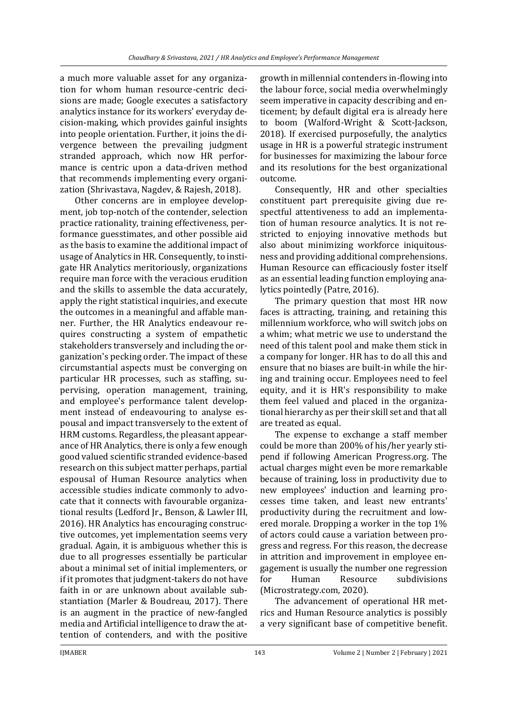a much more valuable asset for any organization for whom human resource-centric decisions are made; Google executes a satisfactory analytics instance for its workers' everyday decision-making, which provides gainful insights into people orientation. Further, it joins the divergence between the prevailing judgment stranded approach, which now HR performance is centric upon a data-driven method that recommends implementing every organization (Shrivastava, Nagdev, & Rajesh, 2018).

Other concerns are in employee development, job top-notch of the contender, selection practice rationality, training effectiveness, performance guesstimates, and other possible aid as the basis to examine the additional impact of usage of Analytics in HR. Consequently, to instigate HR Analytics meritoriously, organizations require man force with the veracious erudition and the skills to assemble the data accurately, apply the right statistical inquiries, and execute the outcomes in a meaningful and affable manner. Further, the HR Analytics endeavour requires constructing a system of empathetic stakeholders transversely and including the organization's pecking order. The impact of these circumstantial aspects must be converging on particular HR processes, such as staffing, supervising, operation management, training, and employee's performance talent development instead of endeavouring to analyse espousal and impact transversely to the extent of HRM customs. Regardless, the pleasant appearance of HR Analytics, there is only a few enough good valued scientific stranded evidence-based research on this subject matter perhaps, partial espousal of Human Resource analytics when accessible studies indicate commonly to advocate that it connects with favourable organizational results (Ledford Jr., Benson, & Lawler III, 2016). HR Analytics has encouraging constructive outcomes, yet implementation seems very gradual. Again, it is ambiguous whether this is due to all progresses essentially be particular about a minimal set of initial implementers, or if it promotes that judgment-takers do not have faith in or are unknown about available substantiation (Marler & Boudreau, 2017). There is an augment in the practice of new-fangled media and Artificial intelligence to draw the attention of contenders, and with the positive

growth in millennial contenders in-flowing into the labour force, social media overwhelmingly seem imperative in capacity describing and enticement; by default digital era is already here to boom (Walford-Wright & Scott-Jackson, 2018). If exercised purposefully, the analytics usage in HR is a powerful strategic instrument for businesses for maximizing the labour force and its resolutions for the best organizational outcome.

Consequently, HR and other specialties constituent part prerequisite giving due respectful attentiveness to add an implementation of human resource analytics. It is not restricted to enjoying innovative methods but also about minimizing workforce iniquitousness and providing additional comprehensions. Human Resource can efficaciously foster itself as an essential leading function employing analytics pointedly (Patre, 2016).

The primary question that most HR now faces is attracting, training, and retaining this millennium workforce, who will switch jobs on a whim; what metric we use to understand the need of this talent pool and make them stick in a company for longer. HR has to do all this and ensure that no biases are built-in while the hiring and training occur. Employees need to feel equity, and it is HR's responsibility to make them feel valued and placed in the organizational hierarchy as per their skill set and that all are treated as equal.

The expense to exchange a staff member could be more than 200% of his/her yearly stipend if following American Progress.org. The actual charges might even be more remarkable because of training, loss in productivity due to new employees' induction and learning processes time taken, and least new entrants' productivity during the recruitment and lowered morale. Dropping a worker in the top 1% of actors could cause a variation between progress and regress. For this reason, the decrease in attrition and improvement in employee engagement is usually the number one regression for Human Resource subdivisions (Microstrategy.com, 2020).

The advancement of operational HR metrics and Human Resource analytics is possibly a very significant base of competitive benefit.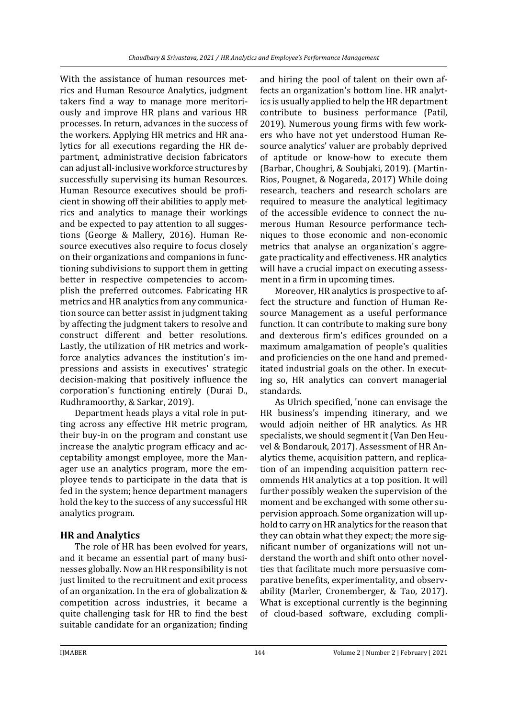With the assistance of human resources metrics and Human Resource Analytics, judgment takers find a way to manage more meritoriously and improve HR plans and various HR processes. In return, advances in the success of the workers. Applying HR metrics and HR analytics for all executions regarding the HR department, administrative decision fabricators can adjust all-inclusive workforce structures by successfully supervising its human Resources. Human Resource executives should be proficient in showing off their abilities to apply metrics and analytics to manage their workings and be expected to pay attention to all suggestions (George & Mallery, 2016). Human Resource executives also require to focus closely on their organizations and companions in functioning subdivisions to support them in getting better in respective competencies to accomplish the preferred outcomes. Fabricating HR metrics and HR analytics from any communication source can better assist in judgment taking by affecting the judgment takers to resolve and construct different and better resolutions. Lastly, the utilization of HR metrics and workforce analytics advances the institution's impressions and assists in executives' strategic decision-making that positively influence the corporation's functioning entirely (Durai D., Rudhramoorthy, & Sarkar, 2019).

Department heads plays a vital role in putting across any effective HR metric program, their buy-in on the program and constant use increase the analytic program efficacy and acceptability amongst employee, more the Manager use an analytics program, more the employee tends to participate in the data that is fed in the system; hence department managers hold the key to the success of any successful HR analytics program.

# **HR and Analytics**

The role of HR has been evolved for years, and it became an essential part of many businesses globally. Now an HR responsibility is not just limited to the recruitment and exit process of an organization. In the era of globalization & competition across industries, it became a quite challenging task for HR to find the best suitable candidate for an organization; finding

and hiring the pool of talent on their own affects an organization's bottom line. HR analytics is usually applied to help the HR department contribute to business performance (Patil, 2019). Numerous young firms with few workers who have not yet understood Human Resource analytics' valuer are probably deprived of aptitude or know-how to execute them (Barbar, Choughri, & Soubjaki, 2019). (Martin-Rios, Pougnet, & Nogareda, 2017) While doing research, teachers and research scholars are required to measure the analytical legitimacy of the accessible evidence to connect the numerous Human Resource performance techniques to those economic and non-economic metrics that analyse an organization's aggregate practicality and effectiveness. HR analytics will have a crucial impact on executing assessment in a firm in upcoming times.

Moreover, HR analytics is prospective to affect the structure and function of Human Resource Management as a useful performance function. It can contribute to making sure bony and dexterous firm's edifices grounded on a maximum amalgamation of people's qualities and proficiencies on the one hand and premeditated industrial goals on the other. In executing so, HR analytics can convert managerial standards.

As Ulrich specified, 'none can envisage the HR business's impending itinerary, and we would adjoin neither of HR analytics. As HR specialists, we should segment it (Van Den Heuvel & Bondarouk, 2017). Assessment of HR Analytics theme, acquisition pattern, and replication of an impending acquisition pattern recommends HR analytics at a top position. It will further possibly weaken the supervision of the moment and be exchanged with some other supervision approach. Some organization will uphold to carry on HR analytics for the reason that they can obtain what they expect; the more significant number of organizations will not understand the worth and shift onto other novelties that facilitate much more persuasive comparative benefits, experimentality, and observability (Marler, Cronemberger, & Tao, 2017). What is exceptional currently is the beginning of cloud-based software, excluding compli-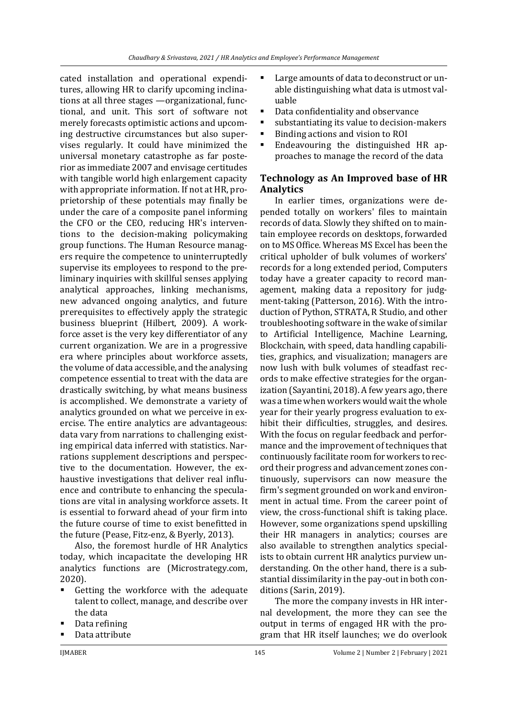cated installation and operational expenditures, allowing HR to clarify upcoming inclinations at all three stages —organizational, functional, and unit. This sort of software not merely forecasts optimistic actions and upcoming destructive circumstances but also supervises regularly. It could have minimized the universal monetary catastrophe as far posterior as immediate 2007 and envisage certitudes with tangible world high enlargement capacity with appropriate information. If not at HR, proprietorship of these potentials may finally be under the care of a composite panel informing the CFO or the CEO, reducing HR's interventions to the decision-making policymaking group functions. The Human Resource managers require the competence to uninterruptedly supervise its employees to respond to the preliminary inquiries with skillful senses applying analytical approaches, linking mechanisms, new advanced ongoing analytics, and future prerequisites to effectively apply the strategic business blueprint (Hilbert, 2009). A workforce asset is the very key differentiator of any current organization. We are in a progressive era where principles about workforce assets, the volume of data accessible, and the analysing competence essential to treat with the data are drastically switching, by what means business is accomplished. We demonstrate a variety of analytics grounded on what we perceive in exercise. The entire analytics are advantageous: data vary from narrations to challenging existing empirical data inferred with statistics. Narrations supplement descriptions and perspective to the documentation. However, the exhaustive investigations that deliver real influence and contribute to enhancing the speculations are vital in analysing workforce assets. It is essential to forward ahead of your firm into the future course of time to exist benefitted in the future (Pease, Fitz-enz, & Byerly, 2013).

Also, the foremost hurdle of HR Analytics today, which incapacitate the developing HR analytics functions are (Microstrategy.com, 2020).

- Getting the workforce with the adequate talent to collect, manage, and describe over the data
- Data refining
- Data attribute
- Large amounts of data to deconstruct or unable distinguishing what data is utmost valuable
- Data confidentiality and observance
- substantiating its value to decision-makers
- Binding actions and vision to ROI
- Endeavouring the distinguished HR approaches to manage the record of the data

### **Technology as An Improved base of HR Analytics**

In earlier times, organizations were depended totally on workers' files to maintain records of data. Slowly they shifted on to maintain employee records on desktops, forwarded on to MS Office. Whereas MS Excel has been the critical upholder of bulk volumes of workers' records for a long extended period, Computers today have a greater capacity to record management, making data a repository for judgment-taking (Patterson, 2016). With the introduction of Python, STRATA, R Studio, and other troubleshooting software in the wake of similar to Artificial Intelligence, Machine Learning, Blockchain, with speed, data handling capabilities, graphics, and visualization; managers are now lush with bulk volumes of steadfast records to make effective strategies for the organization (Sayantini, 2018). A few years ago, there was a time when workers would wait the whole year for their yearly progress evaluation to exhibit their difficulties, struggles, and desires. With the focus on regular feedback and performance and the improvement of techniques that continuously facilitate room for workers to record their progress and advancement zones continuously, supervisors can now measure the firm's segment grounded on work and environment in actual time. From the career point of view, the cross-functional shift is taking place. However, some organizations spend upskilling their HR managers in analytics; courses are also available to strengthen analytics specialists to obtain current HR analytics purview understanding. On the other hand, there is a substantial dissimilarity in the pay-out in both conditions (Sarin, 2019).

The more the company invests in HR internal development, the more they can see the output in terms of engaged HR with the program that HR itself launches; we do overlook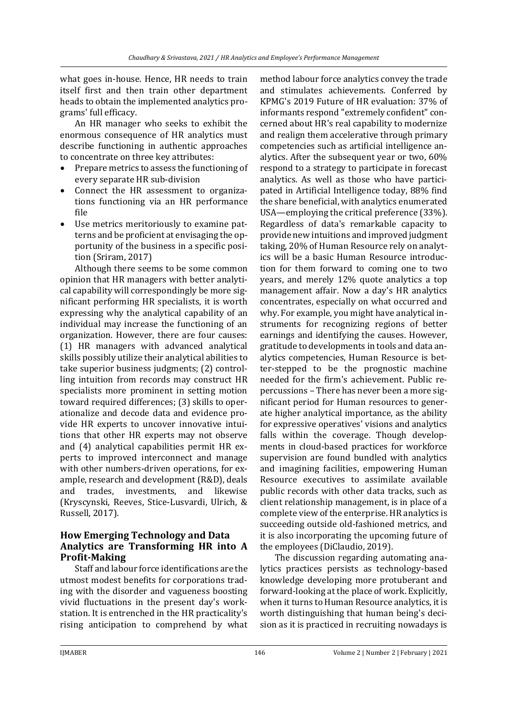what goes in-house. Hence, HR needs to train itself first and then train other department heads to obtain the implemented analytics programs' full efficacy.

An HR manager who seeks to exhibit the enormous consequence of HR analytics must describe functioning in authentic approaches to concentrate on three key attributes:

- Prepare metrics to assess the functioning of every separate HR sub-division
- Connect the HR assessment to organizations functioning via an HR performance file
- Use metrics meritoriously to examine patterns and be proficient at envisaging the opportunity of the business in a specific position (Sriram, 2017)

Although there seems to be some common opinion that HR managers with better analytical capability will correspondingly be more significant performing HR specialists, it is worth expressing why the analytical capability of an individual may increase the functioning of an organization. However, there are four causes: (1) HR managers with advanced analytical skills possibly utilize their analytical abilities to take superior business judgments; (2) controlling intuition from records may construct HR specialists more prominent in setting motion toward required differences; (3) skills to operationalize and decode data and evidence provide HR experts to uncover innovative intuitions that other HR experts may not observe and (4) analytical capabilities permit HR experts to improved interconnect and manage with other numbers-driven operations, for example, research and development (R&D), deals and trades, investments, and likewise (Kryscynski, Reeves, Stice-Lusvardi, Ulrich, & Russell, 2017).

### **How Emerging Technology and Data Analytics are Transforming HR into A Profit-Making**

Staff and labour force identifications are the utmost modest benefits for corporations trading with the disorder and vagueness boosting vivid fluctuations in the present day's workstation. It is entrenched in the HR practicality's rising anticipation to comprehend by what

method labour force analytics convey the trade and stimulates achievements. Conferred by KPMG's 2019 Future of HR evaluation: 37% of informants respond "extremely confident" concerned about HR's real capability to modernize and realign them accelerative through primary competencies such as artificial intelligence analytics. After the subsequent year or two, 60% respond to a strategy to participate in forecast analytics. As well as those who have participated in Artificial Intelligence today, 88% find the share beneficial, with analytics enumerated USA—employing the critical preference (33%). Regardless of data's remarkable capacity to provide new intuitions and improved judgment taking, 20% of Human Resource rely on analytics will be a basic Human Resource introduction for them forward to coming one to two years, and merely 12% quote analytics a top management affair. Now a day's HR analytics concentrates, especially on what occurred and why. For example, you might have analytical instruments for recognizing regions of better earnings and identifying the causes. However, gratitude to developments in tools and data analytics competencies, Human Resource is better-stepped to be the prognostic machine needed for the firm's achievement. Public repercussions – There has never been a more significant period for Human resources to generate higher analytical importance, as the ability for expressive operatives' visions and analytics falls within the coverage. Though developments in cloud-based practices for workforce supervision are found bundled with analytics and imagining facilities, empowering Human Resource executives to assimilate available public records with other data tracks, such as client relationship management, is in place of a complete view of the enterprise. HR analytics is succeeding outside old-fashioned metrics, and it is also incorporating the upcoming future of the employees (DiClaudio, 2019).

The discussion regarding automating analytics practices persists as technology-based knowledge developing more protuberant and forward-looking at the place of work. Explicitly, when it turns to Human Resource analytics, it is worth distinguishing that human being's decision as it is practiced in recruiting nowadays is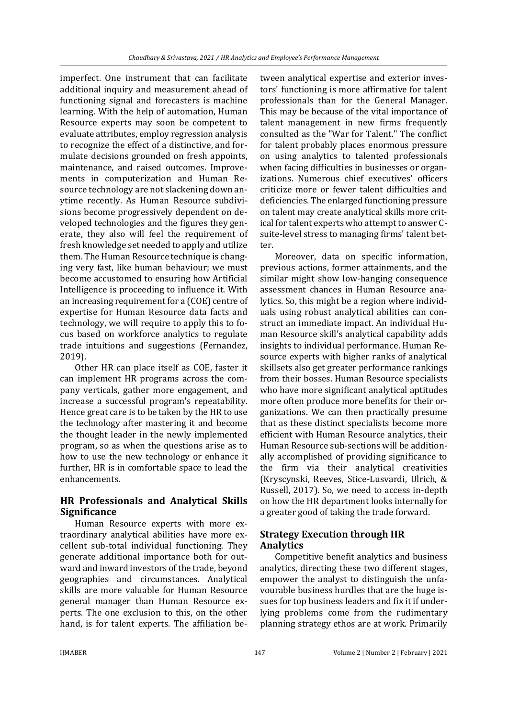imperfect. One instrument that can facilitate additional inquiry and measurement ahead of functioning signal and forecasters is machine learning. With the help of automation, Human Resource experts may soon be competent to evaluate attributes, employ regression analysis to recognize the effect of a distinctive, and formulate decisions grounded on fresh appoints, maintenance, and raised outcomes. Improvements in computerization and Human Resource technology are not slackening down anytime recently. As Human Resource subdivisions become progressively dependent on developed technologies and the figures they generate, they also will feel the requirement of fresh knowledge set needed to apply and utilize them. The Human Resource technique is changing very fast, like human behaviour; we must become accustomed to ensuring how Artificial Intelligence is proceeding to influence it. With an increasing requirement for a (COE) centre of expertise for Human Resource data facts and technology, we will require to apply this to focus based on workforce analytics to regulate trade intuitions and suggestions (Fernandez, 2019).

Other HR can place itself as COE, faster it can implement HR programs across the company verticals, gather more engagement, and increase a successful program's repeatability. Hence great care is to be taken by the HR to use the technology after mastering it and become the thought leader in the newly implemented program, so as when the questions arise as to how to use the new technology or enhance it further, HR is in comfortable space to lead the enhancements.

# **HR Professionals and Analytical Skills Significance**

Human Resource experts with more extraordinary analytical abilities have more excellent sub-total individual functioning. They generate additional importance both for outward and inward investors of the trade, beyond geographies and circumstances. Analytical skills are more valuable for Human Resource general manager than Human Resource experts. The one exclusion to this, on the other hand, is for talent experts. The affiliation be-

tween analytical expertise and exterior investors' functioning is more affirmative for talent professionals than for the General Manager. This may be because of the vital importance of talent management in new firms frequently consulted as the "War for Talent." The conflict for talent probably places enormous pressure on using analytics to talented professionals when facing difficulties in businesses or organizations. Numerous chief executives' officers criticize more or fewer talent difficulties and deficiencies. The enlarged functioning pressure on talent may create analytical skills more critical for talent experts who attempt to answer Csuite-level stress to managing firms' talent better.

Moreover, data on specific information, previous actions, former attainments, and the similar might show low-hanging consequence assessment chances in Human Resource analytics. So, this might be a region where individuals using robust analytical abilities can construct an immediate impact. An individual Human Resource skill's analytical capability adds insights to individual performance. Human Resource experts with higher ranks of analytical skillsets also get greater performance rankings from their bosses. Human Resource specialists who have more significant analytical aptitudes more often produce more benefits for their organizations. We can then practically presume that as these distinct specialists become more efficient with Human Resource analytics, their Human Resource sub-sections will be additionally accomplished of providing significance to the firm via their analytical creativities (Kryscynski, Reeves, Stice-Lusvardi, Ulrich, & Russell, 2017). So, we need to access in-depth on how the HR department looks internally for a greater good of taking the trade forward.

# **Strategy Execution through HR Analytics**

Competitive benefit analytics and business analytics, directing these two different stages, empower the analyst to distinguish the unfavourable business hurdles that are the huge issues for top business leaders and fix it if underlying problems come from the rudimentary planning strategy ethos are at work. Primarily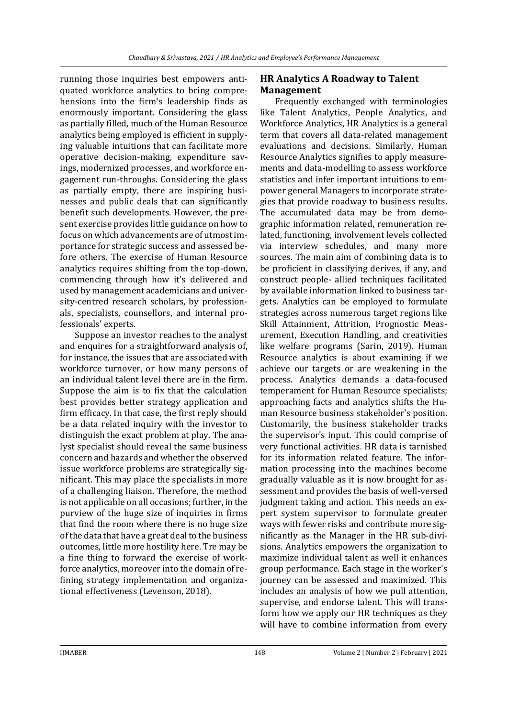running those inquiries best empowers antiquated workforce analytics to bring comprehensions into the firm's leadership finds as enormously important. Considering the glass as partially filled, much of the Human Resource analytics being employed is efficient in supplying valuable intuitions that can facilitate more operative decision-making, expenditure savings, modernized processes, and workforce engagement run-throughs. Considering the glass as partially empty, there are inspiring businesses and public deals that can significantly benefit such developments. However, the present exercise provides little guidance on how to focus on which advancements are of utmost importance for strategic success and assessed before others. The exercise of Human Resource analytics requires shifting from the top-down, commencing through how it's delivered and used by management academicians and university-centred research scholars, by professionals, specialists, counsellors, and internal professionals' experts.

Suppose an investor reaches to the analyst and enquires for a straightforward analysis of, for instance, the issues that are associated with workforce turnover, or how many persons of an individual talent level there are in the firm. Suppose the aim is to fix that the calculation best provides better strategy application and firm efficacy. In that case, the first reply should be a data related inquiry with the investor to distinguish the exact problem at play. The analyst specialist should reveal the same business concern and hazards and whether the observed issue workforce problems are strategically significant. This may place the specialists in more of a challenging liaison. Therefore, the method is not applicable on all occasions; further, in the purview of the huge size of inquiries in firms that find the room where there is no huge size of the data that have a great deal to the business outcomes, little more hostility here. Tre may be a fine thing to forward the exercise of workforce analytics, moreover into the domain of refining strategy implementation and organizational effectiveness (Levenson, 2018).

### **HR Analytics A Roadway to Talent Management**

Frequently exchanged with terminologies like Talent Analytics, People Analytics, and Workforce Analytics, HR Analytics is a general term that covers all data-related management evaluations and decisions. Similarly, Human Resource Analytics signifies to apply measurements and data-modelling to assess workforce statistics and infer important intuitions to empower general Managers to incorporate strategies that provide roadway to business results. The accumulated data may be from demographic information related, remuneration related, functioning, involvement levels collected via interview schedules, and many more sources. The main aim of combining data is to be proficient in classifying derives, if any, and construct people- allied techniques facilitated by available information linked to business targets. Analytics can be employed to formulate strategies across numerous target regions like Skill Attainment, Attrition, Prognostic Measurement, Execution Handling, and creativities like welfare programs (Sarin, 2019). Human Resource analytics is about examining if we achieve our targets or are weakening in the process. Analytics demands a data-focused temperament for Human Resource specialists; approaching facts and analytics shifts the Human Resource business stakeholder's position. Customarily, the business stakeholder tracks the supervisor's input. This could comprise of very functional activities. HR data is tarnished for its information related feature. The information processing into the machines become gradually valuable as it is now brought for assessment and provides the basis of well-versed judgment taking and action. This needs an expert system supervisor to formulate greater ways with fewer risks and contribute more significantly as the Manager in the HR sub-divisions. Analytics empowers the organization to maximize individual talent as well it enhances group performance. Each stage in the worker's journey can be assessed and maximized. This includes an analysis of how we pull attention, supervise, and endorse talent. This will transform how we apply our HR techniques as they will have to combine information from every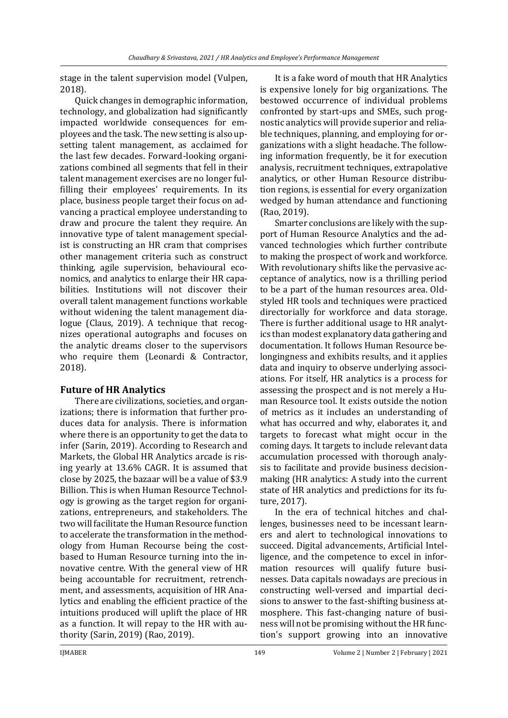stage in the talent supervision model (Vulpen, 2018).

Quick changes in demographic information, technology, and globalization had significantly impacted worldwide consequences for employees and the task. The new setting is also upsetting talent management, as acclaimed for the last few decades. Forward-looking organizations combined all segments that fell in their talent management exercises are no longer fulfilling their employees' requirements. In its place, business people target their focus on advancing a practical employee understanding to draw and procure the talent they require. An innovative type of talent management specialist is constructing an HR cram that comprises other management criteria such as construct thinking, agile supervision, behavioural economics, and analytics to enlarge their HR capabilities. Institutions will not discover their overall talent management functions workable without widening the talent management dialogue (Claus, 2019). A technique that recognizes operational autographs and focuses on the analytic dreams closer to the supervisors who require them (Leonardi & Contractor, 2018).

# **Future of HR Analytics**

There are civilizations, societies, and organizations; there is information that further produces data for analysis. There is information where there is an opportunity to get the data to infer (Sarin, 2019). According to Research and Markets, the Global HR Analytics arcade is rising yearly at 13.6% CAGR. It is assumed that close by 2025, the bazaar will be a value of \$3.9 Billion. This is when Human Resource Technology is growing as the target region for organizations, entrepreneurs, and stakeholders. The two will facilitate the Human Resource function to accelerate the transformation in the methodology from Human Recourse being the costbased to Human Resource turning into the innovative centre. With the general view of HR being accountable for recruitment, retrenchment, and assessments, acquisition of HR Analytics and enabling the efficient practice of the intuitions produced will uplift the place of HR as a function. It will repay to the HR with authority (Sarin, 2019) (Rao, 2019).

It is a fake word of mouth that HR Analytics is expensive lonely for big organizations. The bestowed occurrence of individual problems confronted by start-ups and SMEs, such prognostic analytics will provide superior and reliable techniques, planning, and employing for organizations with a slight headache. The following information frequently, be it for execution analysis, recruitment techniques, extrapolative analytics, or other Human Resource distribution regions, is essential for every organization wedged by human attendance and functioning (Rao, 2019).

Smarter conclusions are likely with the support of Human Resource Analytics and the advanced technologies which further contribute to making the prospect of work and workforce. With revolutionary shifts like the pervasive acceptance of analytics, now is a thrilling period to be a part of the human resources area. Oldstyled HR tools and techniques were practiced directorially for workforce and data storage. There is further additional usage to HR analytics than modest explanatory data gathering and documentation. It follows Human Resource belongingness and exhibits results, and it applies data and inquiry to observe underlying associations. For itself, HR analytics is a process for assessing the prospect and is not merely a Human Resource tool. It exists outside the notion of metrics as it includes an understanding of what has occurred and why, elaborates it, and targets to forecast what might occur in the coming days. It targets to include relevant data accumulation processed with thorough analysis to facilitate and provide business decisionmaking (HR analytics: A study into the current state of HR analytics and predictions for its future, 2017).

In the era of technical hitches and challenges, businesses need to be incessant learners and alert to technological innovations to succeed. Digital advancements, Artificial Intelligence, and the competence to excel in information resources will qualify future businesses. Data capitals nowadays are precious in constructing well-versed and impartial decisions to answer to the fast-shifting business atmosphere. This fast-changing nature of business will not be promising without the HR function's support growing into an innovative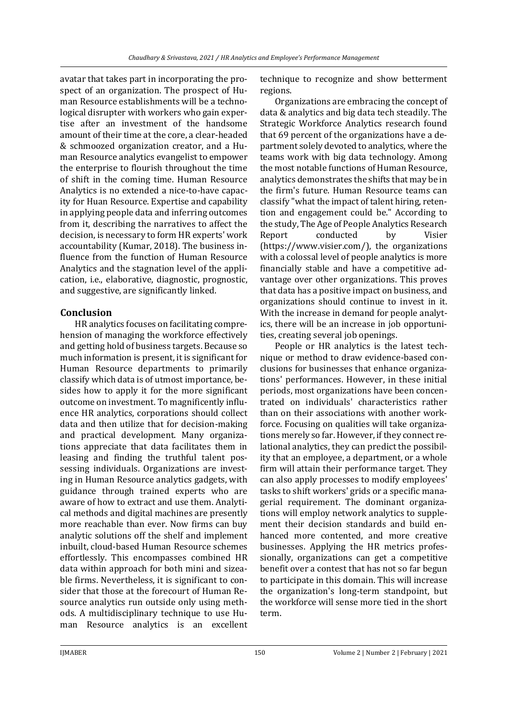avatar that takes part in incorporating the prospect of an organization. The prospect of Human Resource establishments will be a technological disrupter with workers who gain expertise after an investment of the handsome amount of their time at the core, a clear-headed & schmoozed organization creator, and a Human Resource analytics evangelist to empower the enterprise to flourish throughout the time of shift in the coming time. Human Resource Analytics is no extended a nice-to-have capacity for Huan Resource. Expertise and capability in applying people data and inferring outcomes from it, describing the narratives to affect the decision, is necessary to form HR experts' work accountability (Kumar, 2018). The business influence from the function of Human Resource Analytics and the stagnation level of the application, i.e., elaborative, diagnostic, prognostic, and suggestive, are significantly linked.

#### **Conclusion**

HR analytics focuses on facilitating comprehension of managing the workforce effectively and getting hold of business targets. Because so much information is present, it is significant for Human Resource departments to primarily classify which data is of utmost importance, besides how to apply it for the more significant outcome on investment. To magnificently influence HR analytics, corporations should collect data and then utilize that for decision-making and practical development. Many organizations appreciate that data facilitates them in leasing and finding the truthful talent possessing individuals. Organizations are investing in Human Resource analytics gadgets, with guidance through trained experts who are aware of how to extract and use them. Analytical methods and digital machines are presently more reachable than ever. Now firms can buy analytic solutions off the shelf and implement inbuilt, cloud-based Human Resource schemes effortlessly. This encompasses combined HR data within approach for both mini and sizeable firms. Nevertheless, it is significant to consider that those at the forecourt of Human Resource analytics run outside only using methods. A multidisciplinary technique to use Human Resource analytics is an excellent

technique to recognize and show betterment regions.

Organizations are embracing the concept of data & analytics and big data tech steadily. The Strategic Workforce Analytics research found that 69 percent of the organizations have a department solely devoted to analytics, where the teams work with big data technology. Among the most notable functions of Human Resource, analytics demonstrates the shifts that may be in the firm's future. Human Resource teams can classify "what the impact of talent hiring, retention and engagement could be." According to the study, The Age of People Analytics Research Report conducted by Visier [\(https://www.visier.com/\)](https://www.visier.com/), the organizations with a colossal level of people analytics is more financially stable and have a competitive advantage over other organizations. This proves that data has a positive impact on business, and organizations should continue to invest in it. With the increase in demand for people analytics, there will be an increase in job opportunities, creating several job openings.

People or HR analytics is the latest technique or method to draw evidence-based conclusions for businesses that enhance organizations' performances. However, in these initial periods, most organizations have been concentrated on individuals' characteristics rather than on their associations with another workforce. Focusing on qualities will take organizations merely so far. However, if they connect relational analytics, they can predict the possibility that an employee, a department, or a whole firm will attain their performance target. They can also apply processes to modify employees' tasks to shift workers' grids or a specific managerial requirement. The dominant organizations will employ network analytics to supplement their decision standards and build enhanced more contented, and more creative businesses. Applying the HR metrics professionally, organizations can get a competitive benefit over a contest that has not so far begun to participate in this domain. This will increase the organization's long-term standpoint, but the workforce will sense more tied in the short term.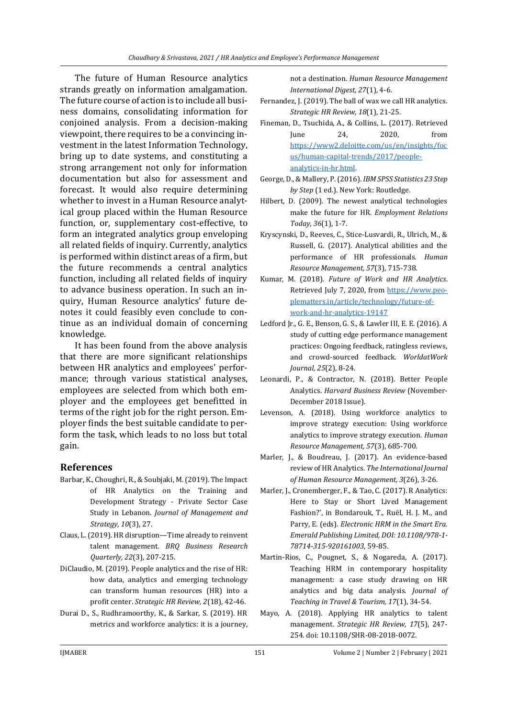The future of Human Resource analytics strands greatly on information amalgamation. The future course of action is to include all business domains, consolidating information for conjoined analysis. From a decision-making viewpoint, there requires to be a convincing investment in the latest Information Technology, bring up to date systems, and constituting a strong arrangement not only for information documentation but also for assessment and forecast. It would also require determining whether to invest in a Human Resource analytical group placed within the Human Resource function, or, supplementary cost-effective, to form an integrated analytics group enveloping all related fields of inquiry. Currently, analytics is performed within distinct areas of a firm, but the future recommends a central analytics function, including all related fields of inquiry to advance business operation. In such an inquiry, Human Resource analytics' future denotes it could feasibly even conclude to continue as an individual domain of concerning knowledge.

It has been found from the above analysis that there are more significant relationships between HR analytics and employees' performance; through various statistical analyses, employees are selected from which both employer and the employees get benefitted in terms of the right job for the right person. Employer finds the best suitable candidate to perform the task, which leads to no loss but total gain.

#### **References**

- Barbar, K., Choughri, R., & Soubjaki, M. (2019). The Impact of HR Analytics on the Training and Development Strategy - Private Sector Case Study in Lebanon. *Journal of Management and Strategy, 10*(3), 27.
- Claus, L. (2019). HR disruption—Time already to reinvent talent management. *BRQ Business Research Quarterly, 22*(3), 207-215.
- DiClaudio, M. (2019). People analytics and the rise of HR: how data, analytics and emerging technology can transform human resources (HR) into a profit center. *Strategic HR Review, 2*(18), 42-46.
- Durai D., S., Rudhramoorthy, K., & Sarkar, S. (2019). HR metrics and workforce analytics: it is a journey,

not a destination. *Human Resource Management International Digest, 27*(1), 4-6.

- Fernandez, J. (2019). The ball of wax we call HR analytics. *Strategic HR Review, 18*(1), 21-25.
- Fineman, D., Tsuchida, A., & Collins, L. (2017). Retrieved June 24, 2020, from [https://www2.deloitte.com/us/en/insights/foc](https://www2.deloitte.com/us/en/insights/focus/human-capital-trends/2017/people-analytics-in-hr.html) [us/human-capital-trends/2017/people](https://www2.deloitte.com/us/en/insights/focus/human-capital-trends/2017/people-analytics-in-hr.html)[analytics-in-hr.html.](https://www2.deloitte.com/us/en/insights/focus/human-capital-trends/2017/people-analytics-in-hr.html)
- George, D., & Mallery, P. (2016). *IBM SPSS Statistics 23 Step by Step* (1 ed.). New York: Routledge.
- Hilbert, D. (2009). The newest analytical technologies make the future for HR. *Employment Relations Today, 36*(1), 1-7.
- Kryscynski, D., Reeves, C., Stice-Lusvardi, R., Ulrich, M., & Russell, G. (2017). Analytical abilities and the performance of HR professionals. *Human Resource Management, 57*(3), 715-738.
- Kumar, M. (2018). *Future of Work and HR Analytics*. Retrieved July 7, 2020, fro[m https://www.peo](https://www.peoplematters.in/article/technology/future-of-work-and-hr-analytics-19147)[plematters.in/article/technology/future-of](https://www.peoplematters.in/article/technology/future-of-work-and-hr-analytics-19147)[work-and-hr-analytics-19147](https://www.peoplematters.in/article/technology/future-of-work-and-hr-analytics-19147)
- Ledford Jr., G. E., Benson, G. S., & Lawler III, E. E. (2016). A study of cutting edge performance management practices: Ongoing feedback, ratingless reviews, and crowd-sourced feedback. *WorldatWork Journal, 25*(2), 8-24.
- Leonardi, P., & Contractor, N. (2018). Better People Analytics. *Harvard Business Review* (November-December 2018 Issue).
- Levenson, A. (2018). Using workforce analytics to improve strategy execution: Using workforce analytics to improve strategy execution. *Human Resource Management, 57*(3), 685-700.
- Marler, J., & Boudreau, J. (2017). An evidence-based review of HR Analytics. *The International Journal of Human Resource Management, 3*(26), 3-26.
- Marler, J., Cronemberger, F., & Tao, C. (2017). R Analytics: Here to Stay or Short Lived Management Fashion?', in Bondarouk, T., Ruël, H. J. M., and Parry, E. (eds). *Electronic HRM in the Smart Era. Emerald Publishing Limited, DOI: 10.1108/978-1- 78714-315-920161003*, 59-85.
- Martin-Rios, C., Pougnet, S., & Nogareda, A. (2017). Teaching HRM in contemporary hospitality management: a case study drawing on HR analytics and big data analysis. *Journal of Teaching in Travel & Tourism, 17*(1), 34-54.
- Mayo, A. (2018). Applying HR analytics to talent management. *Strategic HR Review, 17*(5), 247- 254. doi: 10.1108/SHR-08-2018-0072.